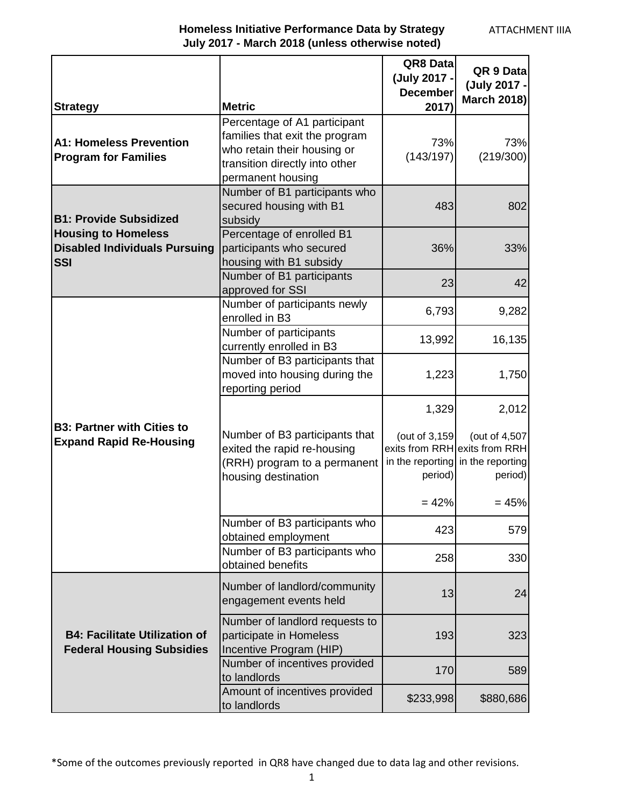| <b>Strategy</b>                                                                  | <b>Metric</b>                                                                                                                                        | QR8 Data<br>(July 2017 -<br><b>December</b><br>2017) | QR 9 Data<br>(July 2017 -<br><b>March 2018)</b>                                                         |
|----------------------------------------------------------------------------------|------------------------------------------------------------------------------------------------------------------------------------------------------|------------------------------------------------------|---------------------------------------------------------------------------------------------------------|
| <b>A1: Homeless Prevention</b><br><b>Program for Families</b>                    | Percentage of A1 participant<br>families that exit the program<br>who retain their housing or<br>transition directly into other<br>permanent housing | 73%<br>(143/197)                                     | 73%<br>(219/300)                                                                                        |
| <b>B1: Provide Subsidized</b>                                                    | Number of B1 participants who<br>secured housing with B1<br>subsidy                                                                                  | 483                                                  | 802                                                                                                     |
| <b>Housing to Homeless</b><br><b>Disabled Individuals Pursuing</b><br><b>SSI</b> | Percentage of enrolled B1<br>participants who secured<br>housing with B1 subsidy                                                                     | 36%                                                  | 33%                                                                                                     |
|                                                                                  | Number of B1 participants<br>approved for SSI                                                                                                        | 23                                                   | 42                                                                                                      |
|                                                                                  | Number of participants newly<br>enrolled in B3                                                                                                       | 6,793                                                | 9,282                                                                                                   |
|                                                                                  | Number of participants<br>currently enrolled in B3                                                                                                   | 13,992                                               | 16,135                                                                                                  |
| <b>B3: Partner with Cities to</b><br><b>Expand Rapid Re-Housing</b>              | Number of B3 participants that<br>moved into housing during the<br>reporting period                                                                  | 1,223                                                | 1,750                                                                                                   |
|                                                                                  | Number of B3 participants that<br>exited the rapid re-housing<br>(RRH) program to a permanent<br>housing destination                                 | 1,329<br>(out of 3,159<br>period)                    | 2,012<br>(out of 4,507<br>exits from RRH exits from RRH<br>in the reporting in the reporting<br>period) |
|                                                                                  | Number of B3 participants who                                                                                                                        | $= 42%$<br>423                                       | $= 45%$<br>579                                                                                          |
|                                                                                  | obtained employment<br>Number of B3 participants who<br>obtained benefits                                                                            | 258                                                  | 330                                                                                                     |
|                                                                                  | Number of landlord/community<br>engagement events held                                                                                               | 13                                                   | 24                                                                                                      |
| <b>B4: Facilitate Utilization of</b><br><b>Federal Housing Subsidies</b>         | Number of landlord requests to<br>participate in Homeless<br>Incentive Program (HIP)                                                                 | 193                                                  | 323                                                                                                     |
|                                                                                  | Number of incentives provided<br>to landlords                                                                                                        | 170                                                  | 589                                                                                                     |
|                                                                                  | Amount of incentives provided<br>to landlords                                                                                                        | \$233,998                                            | \$880,686                                                                                               |

\*Some of the outcomes previously reported in QR8 have changed due to data lag and other revisions.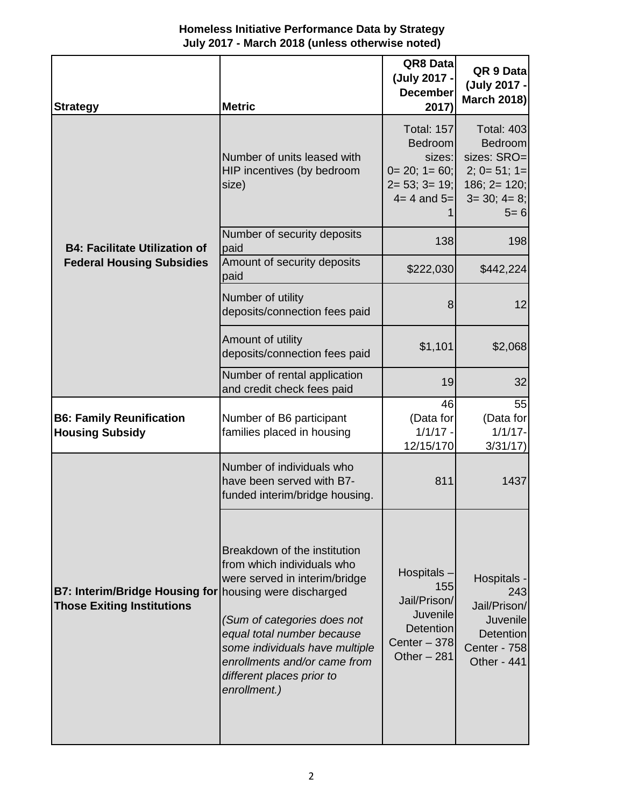| Homeless Initiative Performance Data by Strategy |
|--------------------------------------------------|
| July 2017 - March 2018 (unless otherwise noted)  |

| <b>Strategy</b>                                                            | <b>Metric</b>                                                                                                                                                                                                                                                                                      | QR8 Data<br>(July 2017 -<br><b>December</b><br>2017)                                                         | QR 9 Data<br>(July 2017 -<br><b>March 2018)</b>                                                                      |
|----------------------------------------------------------------------------|----------------------------------------------------------------------------------------------------------------------------------------------------------------------------------------------------------------------------------------------------------------------------------------------------|--------------------------------------------------------------------------------------------------------------|----------------------------------------------------------------------------------------------------------------------|
|                                                                            | Number of units leased with<br>HIP incentives (by bedroom<br>size)                                                                                                                                                                                                                                 | <b>Total: 157</b><br><b>Bedroom</b><br>sizes:<br>$0=20; 1=60;$<br>$2 = 53$ ; $3 = 19$ ;<br>$4 = 4$ and $5 =$ | <b>Total: 403</b><br><b>Bedroom</b><br>sizes: SRO=<br>$2; 0 = 51; 1 =$<br>$186; 2 = 120;$<br>$3=30; 4=8;$<br>$5 = 6$ |
| <b>B4: Facilitate Utilization of</b>                                       | Number of security deposits<br>paid                                                                                                                                                                                                                                                                | 138                                                                                                          | 198                                                                                                                  |
| <b>Federal Housing Subsidies</b>                                           | Amount of security deposits<br>paid                                                                                                                                                                                                                                                                | \$222,030                                                                                                    | \$442,224                                                                                                            |
|                                                                            | Number of utility<br>deposits/connection fees paid                                                                                                                                                                                                                                                 | 8                                                                                                            | 12                                                                                                                   |
|                                                                            | Amount of utility<br>deposits/connection fees paid                                                                                                                                                                                                                                                 | \$1,101                                                                                                      | \$2,068                                                                                                              |
|                                                                            | Number of rental application<br>and credit check fees paid                                                                                                                                                                                                                                         | 19                                                                                                           | 32                                                                                                                   |
| <b>B6: Family Reunification</b><br><b>Housing Subsidy</b>                  | Number of B6 participant<br>families placed in housing                                                                                                                                                                                                                                             | 46<br>(Data for<br>$1/1/17 -$<br>12/15/170                                                                   | 55<br>(Data for<br>$1/1/17 -$<br>3/31/17                                                                             |
|                                                                            | Number of individuals who<br>have been served with B7-<br>funded interim/bridge housing.                                                                                                                                                                                                           | 811                                                                                                          | 1437                                                                                                                 |
| <b>B7: Interim/Bridge Housing for</b><br><b>Those Exiting Institutions</b> | Breakdown of the institution<br>from which individuals who<br>were served in interim/bridge<br>housing were discharged<br>(Sum of categories does not<br>equal total number because<br>some individuals have multiple<br>enrollments and/or came from<br>different places prior to<br>enrollment.) | Hospitals-<br>155<br>Jail/Prison/<br>Juvenile<br><b>Detention</b><br>Center $-378$<br>Other $-281$           | Hospitals -<br>243<br>Jail/Prison/<br>Juvenile<br><b>Detention</b><br>Center - 758<br>Other - 441                    |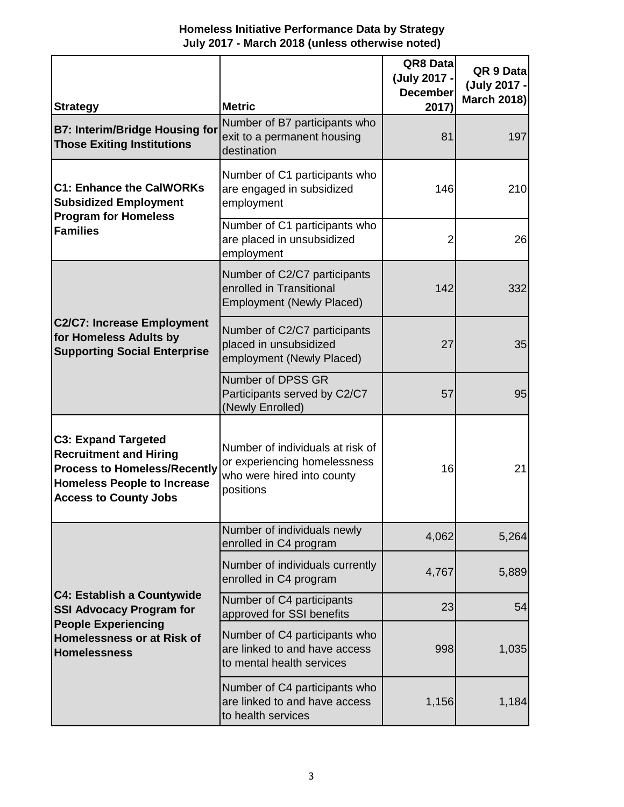| <b>Strategy</b>                                                                                                                                                          | <b>Metric</b>                                                                                               | QR8 Data<br>(July 2017 -<br><b>December</b><br>2017) | QR 9 Data<br>(July 2017 -<br><b>March 2018)</b> |
|--------------------------------------------------------------------------------------------------------------------------------------------------------------------------|-------------------------------------------------------------------------------------------------------------|------------------------------------------------------|-------------------------------------------------|
| <b>B7: Interim/Bridge Housing for</b><br><b>Those Exiting Institutions</b>                                                                                               | Number of B7 participants who<br>exit to a permanent housing<br>destination                                 | 81                                                   | 197                                             |
| <b>C1: Enhance the CalWORKs</b><br><b>Subsidized Employment</b>                                                                                                          | Number of C1 participants who<br>are engaged in subsidized<br>employment                                    | 146                                                  | 210                                             |
| <b>Program for Homeless</b><br><b>Families</b>                                                                                                                           | Number of C1 participants who<br>are placed in unsubsidized<br>employment                                   | 2                                                    | 26                                              |
|                                                                                                                                                                          | Number of C2/C7 participants<br>enrolled in Transitional<br><b>Employment (Newly Placed)</b>                | 142                                                  | 332                                             |
| <b>C2/C7: Increase Employment</b><br>for Homeless Adults by<br><b>Supporting Social Enterprise</b>                                                                       | Number of C2/C7 participants<br>placed in unsubsidized<br>employment (Newly Placed)                         | 27                                                   | 35                                              |
|                                                                                                                                                                          | Number of DPSS GR<br>Participants served by C2/C7<br>(Newly Enrolled)                                       | 57                                                   | 95                                              |
| <b>C3: Expand Targeted</b><br><b>Recruitment and Hiring</b><br><b>Process to Homeless/Recently</b><br><b>Homeless People to Increase</b><br><b>Access to County Jobs</b> | Number of individuals at risk of<br>or experiencing homelessness<br>who were hired into county<br>positions | 16                                                   | 21                                              |
|                                                                                                                                                                          | Number of individuals newly<br>enrolled in C4 program                                                       | 4,062                                                | 5,264                                           |
|                                                                                                                                                                          | Number of individuals currently<br>enrolled in C4 program                                                   | 4,767                                                | 5,889                                           |
| <b>C4: Establish a Countywide</b><br><b>SSI Advocacy Program for</b><br><b>People Experiencing</b><br>Homelessness or at Risk of<br><b>Homelessness</b>                  | Number of C4 participants<br>approved for SSI benefits                                                      | 23                                                   | 54                                              |
|                                                                                                                                                                          | Number of C4 participants who<br>are linked to and have access<br>to mental health services                 | 998                                                  | 1,035                                           |
|                                                                                                                                                                          | Number of C4 participants who<br>are linked to and have access<br>to health services                        | 1,156                                                | 1,184                                           |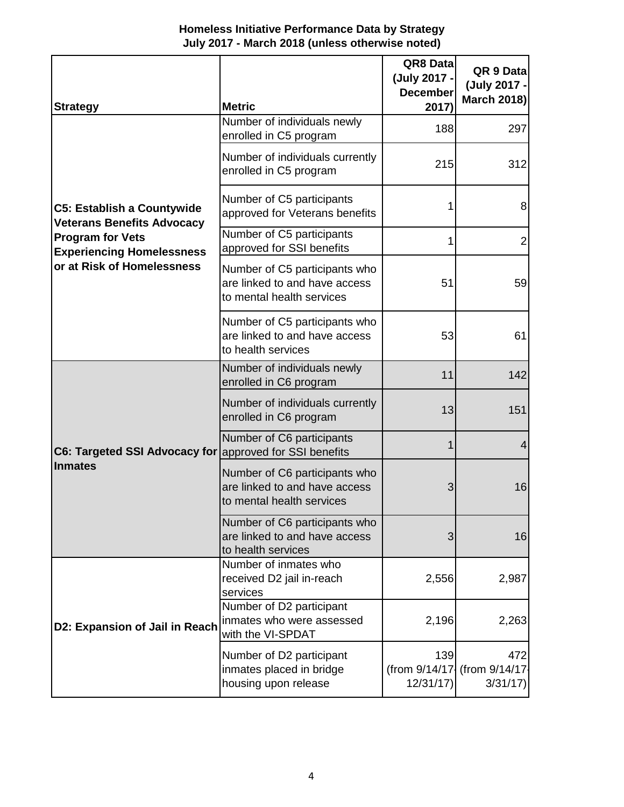| <b>Homeless Initiative Performance Data by Strategy</b> |  |
|---------------------------------------------------------|--|
| July 2017 - March 2018 (unless otherwise noted)         |  |

| <b>Strategy</b>                                                        | <b>Metric</b>                                                                               | QR8 Data<br>(July 2017 -<br><b>December</b><br>2017) | QR 9 Data<br>(July 2017 -<br><b>March 2018)</b> |
|------------------------------------------------------------------------|---------------------------------------------------------------------------------------------|------------------------------------------------------|-------------------------------------------------|
|                                                                        | Number of individuals newly<br>enrolled in C5 program                                       | 188                                                  | 297                                             |
|                                                                        | Number of individuals currently<br>enrolled in C5 program                                   | 215                                                  | 312                                             |
| <b>C5: Establish a Countywide</b><br><b>Veterans Benefits Advocacy</b> | Number of C5 participants<br>approved for Veterans benefits                                 | 1                                                    | 8                                               |
| <b>Program for Vets</b><br><b>Experiencing Homelessness</b>            | Number of C5 participants<br>approved for SSI benefits                                      | 1                                                    | $\overline{2}$                                  |
| or at Risk of Homelessness                                             | Number of C5 participants who<br>are linked to and have access<br>to mental health services | 51                                                   | 59                                              |
|                                                                        | Number of C5 participants who<br>are linked to and have access<br>to health services        | 53                                                   | 61                                              |
|                                                                        | Number of individuals newly<br>enrolled in C6 program                                       | 11                                                   | 142                                             |
|                                                                        | Number of individuals currently<br>enrolled in C6 program                                   | 13                                                   | 151                                             |
| C6: Targeted SSI Advocacy for approved for SSI benefits                | Number of C6 participants                                                                   | $\mathbf 1$                                          | 4                                               |
| <b>Inmates</b>                                                         | Number of C6 participants who<br>are linked to and have access<br>to mental health services | 3                                                    | 16                                              |
|                                                                        | Number of C6 participants who<br>are linked to and have access<br>to health services        | 3                                                    | 16                                              |
| D2: Expansion of Jail in Reach                                         | Number of inmates who<br>received D2 jail in-reach<br>services                              | 2,556                                                | 2,987                                           |
|                                                                        | Number of D2 participant<br>inmates who were assessed<br>with the VI-SPDAT                  | 2,196                                                | 2,263                                           |
|                                                                        | Number of D2 participant<br>inmates placed in bridge<br>housing upon release                | 139<br>12/31/17                                      | 472<br>(from 9/14/17 (from 9/14/17<br>3/31/17   |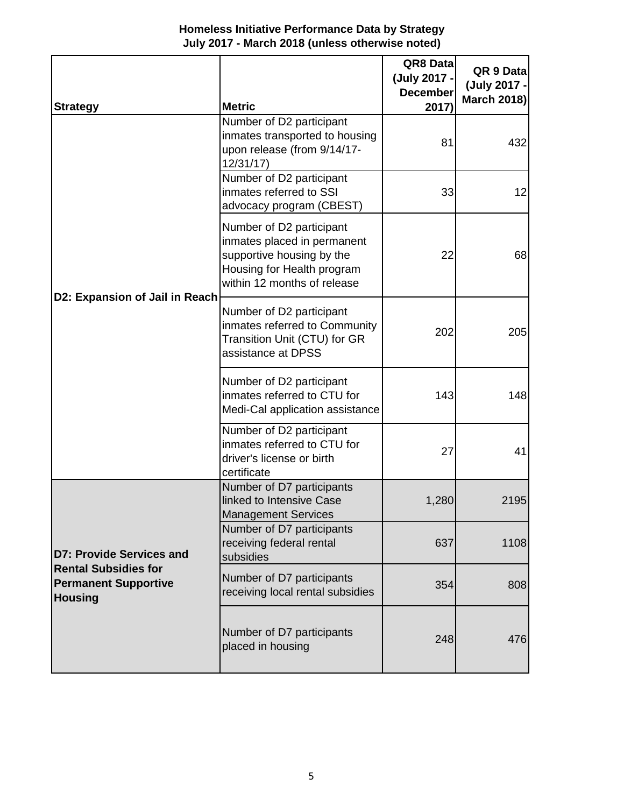| Homeless Initiative Performance Data by Strategy |
|--------------------------------------------------|
| July 2017 - March 2018 (unless otherwise noted)  |

| <b>Strategy</b>                                                                                                 | <b>Metric</b>                                                                                                                                     | QR8 Data<br>(July 2017 -<br><b>December</b><br>2017) | QR 9 Data<br>(July 2017 -<br><b>March 2018)</b> |
|-----------------------------------------------------------------------------------------------------------------|---------------------------------------------------------------------------------------------------------------------------------------------------|------------------------------------------------------|-------------------------------------------------|
|                                                                                                                 | Number of D2 participant<br>inmates transported to housing<br>upon release (from 9/14/17-<br>12/31/17                                             | 81                                                   | 432                                             |
|                                                                                                                 | Number of D2 participant<br>inmates referred to SSI<br>advocacy program (CBEST)                                                                   | 33                                                   | 12                                              |
| D2: Expansion of Jail in Reach                                                                                  | Number of D2 participant<br>inmates placed in permanent<br>supportive housing by the<br>Housing for Health program<br>within 12 months of release | 22                                                   | 68                                              |
|                                                                                                                 | Number of D2 participant<br>inmates referred to Community<br>Transition Unit (CTU) for GR<br>assistance at DPSS                                   | 202                                                  | 205                                             |
|                                                                                                                 | Number of D2 participant<br>inmates referred to CTU for<br>Medi-Cal application assistance                                                        | 143                                                  | 148                                             |
|                                                                                                                 | Number of D2 participant<br>inmates referred to CTU for<br>driver's license or birth<br>certificate                                               | 27                                                   | 41                                              |
| <b>D7: Provide Services and</b><br><b>Rental Subsidies for</b><br><b>Permanent Supportive</b><br><b>Housing</b> | Number of D7 participants<br>linked to Intensive Case<br><b>Management Services</b>                                                               | 1,280                                                | 2195                                            |
|                                                                                                                 | Number of D7 participants<br>receiving federal rental<br>subsidies                                                                                | 637                                                  | 1108                                            |
|                                                                                                                 | Number of D7 participants<br>receiving local rental subsidies                                                                                     | 354                                                  | 808                                             |
|                                                                                                                 | Number of D7 participants<br>placed in housing                                                                                                    | 248                                                  | 476                                             |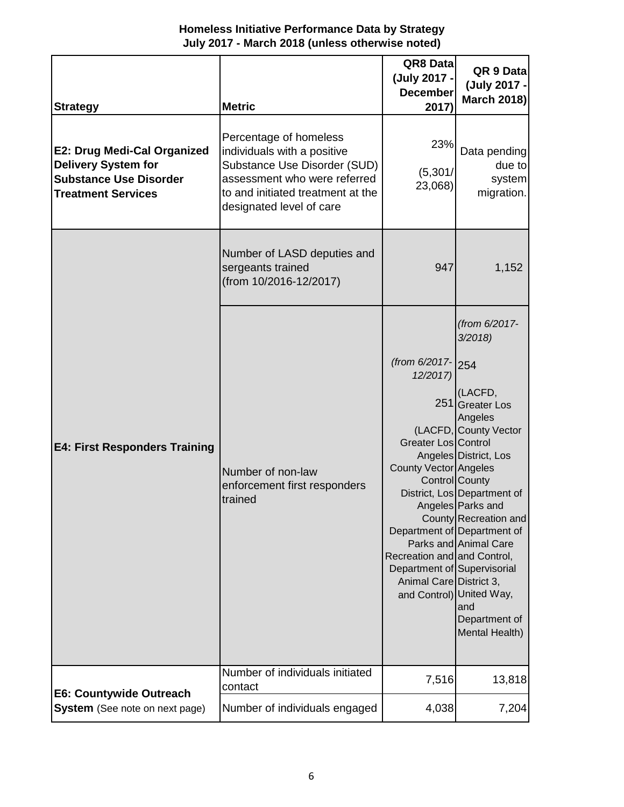| <b>Strategy</b>                                                                                                                | <b>Metric</b>                                                                                                                                                                          | QR8 Datal<br>(July 2017 -<br><b>December</b><br>2017)                                                                                                                  | QR 9 Data<br>(July 2017 -<br><b>March 2018)</b>                                                                                                                                                                                                                                                                                                 |
|--------------------------------------------------------------------------------------------------------------------------------|----------------------------------------------------------------------------------------------------------------------------------------------------------------------------------------|------------------------------------------------------------------------------------------------------------------------------------------------------------------------|-------------------------------------------------------------------------------------------------------------------------------------------------------------------------------------------------------------------------------------------------------------------------------------------------------------------------------------------------|
| <b>E2: Drug Medi-Cal Organized</b><br><b>Delivery System for</b><br><b>Substance Use Disorder</b><br><b>Treatment Services</b> | Percentage of homeless<br>individuals with a positive<br>Substance Use Disorder (SUD)<br>assessment who were referred<br>to and initiated treatment at the<br>designated level of care | 23%<br>(5,301/<br>23,068)                                                                                                                                              | Data pending<br>due to<br>system<br>migration.                                                                                                                                                                                                                                                                                                  |
|                                                                                                                                | Number of LASD deputies and<br>sergeants trained<br>(from 10/2016-12/2017)                                                                                                             | 947                                                                                                                                                                    | 1,152                                                                                                                                                                                                                                                                                                                                           |
| <b>E4: First Responders Training</b>                                                                                           | Number of non-law<br>enforcement first responders<br>trained                                                                                                                           | (from 6/2017- 254<br>12/2017)<br>Greater Los Control<br>County Vector Angeles<br>Recreation and and Control,<br>Department of Supervisorial<br>Animal Care District 3, | (from 6/2017-<br>3/2018<br>(LACFD,<br>251 Greater Los<br>Angeles<br>(LACFD, County Vector<br>Angeles District, Los<br>Control County<br>District, Los Department of<br>Angeles Parks and<br>County Recreation and<br>Department of Department of<br>Parks and Animal Care<br>and Control) United Way,<br>and<br>Department of<br>Mental Health) |
| E6: Countywide Outreach                                                                                                        | Number of individuals initiated<br>contact                                                                                                                                             | 7,516                                                                                                                                                                  | 13,818                                                                                                                                                                                                                                                                                                                                          |
| <b>System</b> (See note on next page)                                                                                          | Number of individuals engaged                                                                                                                                                          | 4,038                                                                                                                                                                  | 7,204                                                                                                                                                                                                                                                                                                                                           |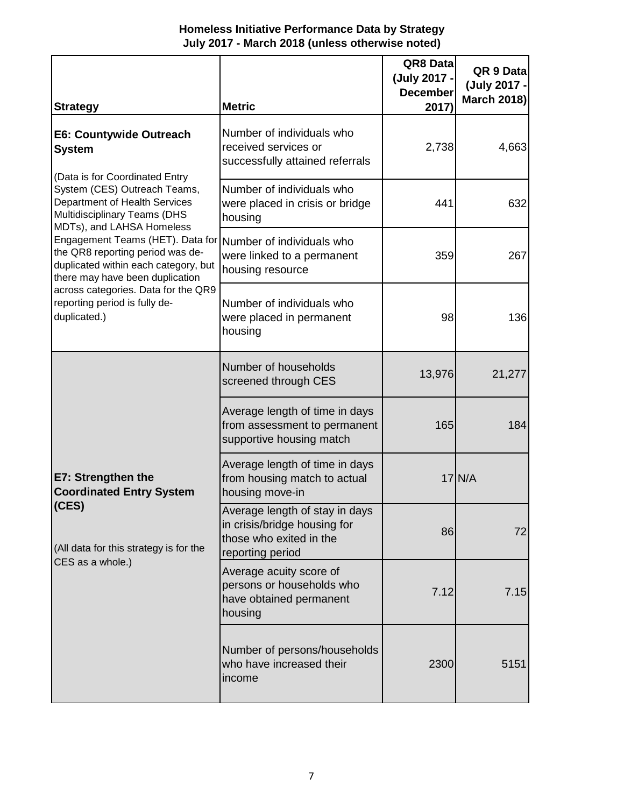#### **Homeless Initiative Performance Data by Strategy July 2017 - March 2018 (unless otherwise noted)**

| <b>Strategy</b>                                                                                                                                                     | <b>Metric</b>                                                                                                 | QR8 Datal<br>(July 2017 -<br><b>December</b><br>2017) | QR 9 Data<br>(July 2017 -<br><b>March 2018)</b> |
|---------------------------------------------------------------------------------------------------------------------------------------------------------------------|---------------------------------------------------------------------------------------------------------------|-------------------------------------------------------|-------------------------------------------------|
| E6: Countywide Outreach<br><b>System</b>                                                                                                                            | Number of individuals who<br>received services or<br>successfully attained referrals                          | 2,738                                                 | 4,663                                           |
| (Data is for Coordinated Entry<br>System (CES) Outreach Teams,<br><b>Department of Health Services</b><br>Multidisciplinary Teams (DHS<br>MDTs), and LAHSA Homeless | Number of individuals who<br>were placed in crisis or bridge<br>housing                                       | 441                                                   | 632                                             |
| Engagement Teams (HET). Data for<br>the QR8 reporting period was de-<br>duplicated within each category, but<br>there may have been duplication                     | Number of individuals who<br>were linked to a permanent<br>housing resource                                   | 359                                                   | 267                                             |
| across categories. Data for the QR9<br>reporting period is fully de-<br>duplicated.)                                                                                | Number of individuals who<br>were placed in permanent<br>housing                                              | 98                                                    | 136                                             |
|                                                                                                                                                                     | Number of households<br>screened through CES                                                                  | 13,976                                                | 21,277                                          |
| E7: Strengthen the<br><b>Coordinated Entry System</b><br>(CES)<br>(All data for this strategy is for the<br>CES as a whole.)                                        | Average length of time in days<br>from assessment to permanent<br>supportive housing match                    | 165                                                   | 184                                             |
|                                                                                                                                                                     | Average length of time in days<br>from housing match to actual<br>housing move-in                             |                                                       | $17$ N/A                                        |
|                                                                                                                                                                     | Average length of stay in days<br>in crisis/bridge housing for<br>those who exited in the<br>reporting period | 86                                                    | 72                                              |
|                                                                                                                                                                     | Average acuity score of<br>persons or households who<br>have obtained permanent<br>housing                    | 7.12                                                  | 7.15                                            |
|                                                                                                                                                                     | Number of persons/households<br>who have increased their<br>income                                            | 2300                                                  | 5151                                            |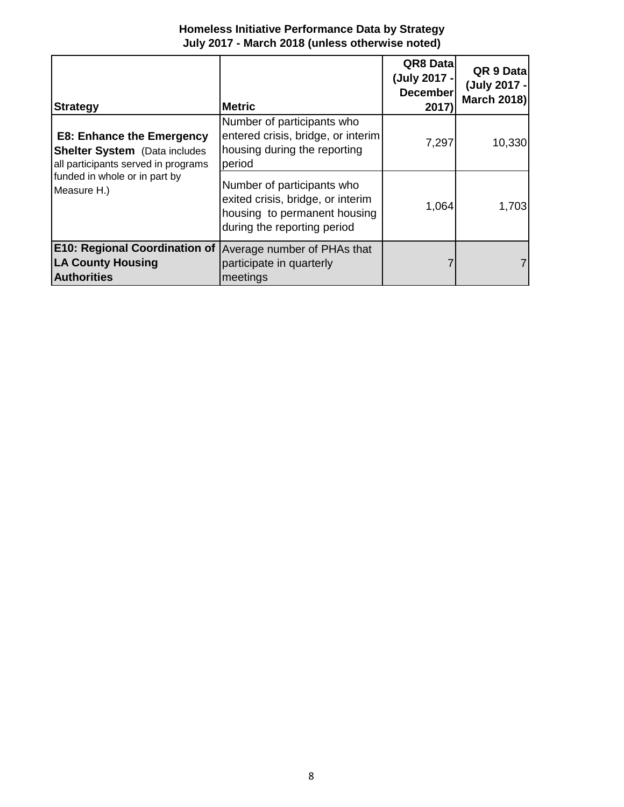| <b>Homeless Initiative Performance Data by Strategy</b> |  |
|---------------------------------------------------------|--|
| July 2017 - March 2018 (unless otherwise noted)         |  |

| <b>Strategy</b>                                                                                                 | <b>IMetric</b>                                                                                                                 | QR8 Data<br>(July 2017 -<br><b>December</b><br>2017) | QR 9 Data<br>(July 2017 -<br><b>March 2018)</b> |
|-----------------------------------------------------------------------------------------------------------------|--------------------------------------------------------------------------------------------------------------------------------|------------------------------------------------------|-------------------------------------------------|
| <b>E8: Enhance the Emergency</b><br><b>Shelter System</b> (Data includes<br>all participants served in programs | Number of participants who<br>entered crisis, bridge, or interim<br>housing during the reporting<br>period                     | 7,297                                                | 10,330                                          |
| funded in whole or in part by<br>Measure H.)                                                                    | Number of participants who<br>exited crisis, bridge, or interim<br>housing to permanent housing<br>during the reporting period | 1,064                                                | 1,703                                           |
| <b>E10: Regional Coordination of</b><br><b>LA County Housing</b><br><b>Authorities</b>                          | Average number of PHAs that<br>participate in quarterly<br>meetings                                                            |                                                      |                                                 |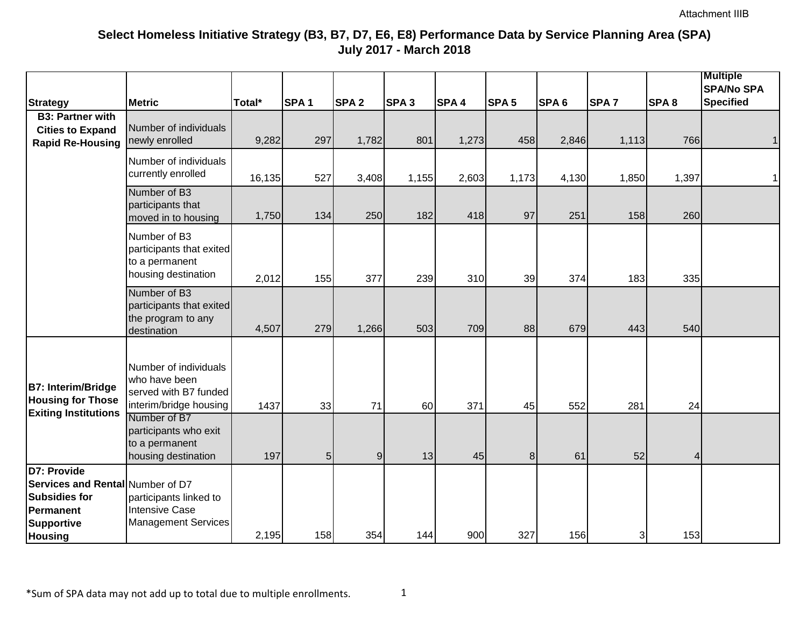|                                                                                                           |                                                                                           |        |                  |                  |                  |                  |                  |                  |                  |                         | <b>Multiple</b><br><b>SPA/No SPA</b> |
|-----------------------------------------------------------------------------------------------------------|-------------------------------------------------------------------------------------------|--------|------------------|------------------|------------------|------------------|------------------|------------------|------------------|-------------------------|--------------------------------------|
| <b>Strategy</b>                                                                                           | <b>Metric</b>                                                                             | Total* | SPA <sub>1</sub> | SPA <sub>2</sub> | SPA <sub>3</sub> | SPA <sub>4</sub> | SPA <sub>5</sub> | SPA <sub>6</sub> | SPA <sub>7</sub> | SPA <sub>8</sub>        | <b>Specified</b>                     |
| <b>B3: Partner with</b><br><b>Cities to Expand</b><br><b>Rapid Re-Housing</b>                             | Number of individuals<br>newly enrolled                                                   | 9,282  | 297              | 1,782            | 801              | 1,273            | 458              | 2,846            | 1,113            | 766                     |                                      |
|                                                                                                           | Number of individuals<br>currently enrolled                                               | 16,135 | 527              | 3,408            | 1,155            | 2,603            | 1,173            | 4,130            | 1,850            | 1,397                   |                                      |
|                                                                                                           | Number of B3<br>participants that<br>moved in to housing                                  | 1,750  | 134              | 250              | 182              | 418              | 97               | 251              | 158              | 260                     |                                      |
|                                                                                                           | Number of B3<br>participants that exited<br>to a permanent<br>housing destination         | 2,012  | 155              | 377              | 239              | 310              | 39               | 374              | 183              | 335                     |                                      |
|                                                                                                           | Number of B3<br>participants that exited<br>the program to any<br>destination             | 4,507  | 279              | 1,266            | 503              | 709              | 88               | 679              | 443              | 540                     |                                      |
| <b>B7: Interim/Bridge</b><br><b>Housing for Those</b>                                                     | Number of individuals<br>who have been<br>served with B7 funded<br>interim/bridge housing | 1437   | 33               | 71               | 60               | 371              | 45               | 552              | 281              | 24                      |                                      |
| <b>Exiting Institutions</b>                                                                               | Number of B7<br>participants who exit<br>to a permanent<br>housing destination            | 197    | $\overline{5}$   | $\overline{9}$   | 13               | 45               | 8 <sup>1</sup>   | 61               | 52               | $\overline{\mathbf{4}}$ |                                      |
| D7: Provide<br>Services and Rental Number of D7<br><b>Subsidies for</b><br>Permanent<br><b>Supportive</b> | participants linked to<br><b>Intensive Case</b><br><b>Management Services</b>             |        |                  |                  |                  |                  |                  |                  |                  |                         |                                      |
| <b>Housing</b>                                                                                            |                                                                                           | 2,195  | 158              | 354              | 144              | 900              | 327              | 156              | 3                | 153                     |                                      |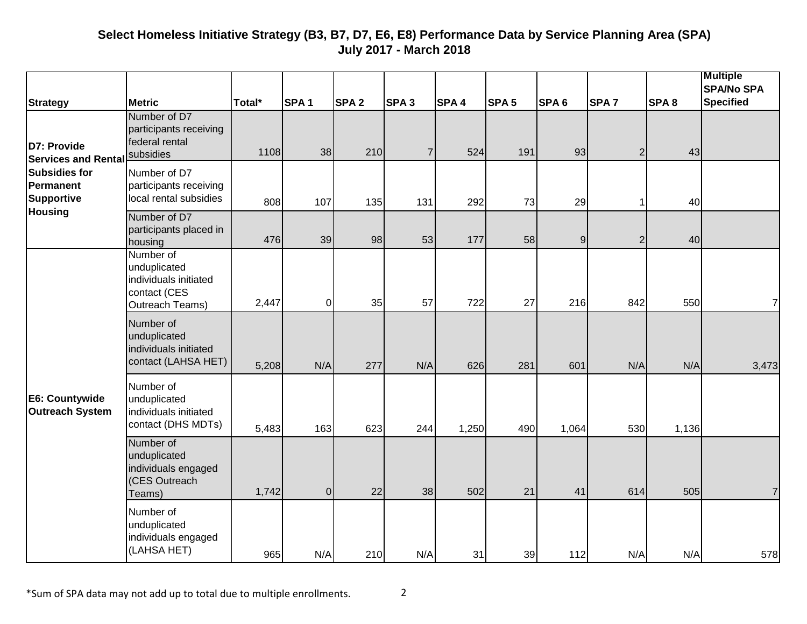|                                                        |                                                                                       |        |                  |                  |                  |                  |                  |                  |                |                  | <b>Multiple</b><br><b>SPA/No SPA</b> |
|--------------------------------------------------------|---------------------------------------------------------------------------------------|--------|------------------|------------------|------------------|------------------|------------------|------------------|----------------|------------------|--------------------------------------|
| <b>Strategy</b>                                        | <b>Metric</b>                                                                         | Total* | SPA <sub>1</sub> | SPA <sub>2</sub> | SPA <sub>3</sub> | SPA <sub>4</sub> | SPA <sub>5</sub> | SPA <sub>6</sub> | <b>SPA7</b>    | SPA <sub>8</sub> | <b>Specified</b>                     |
| D7: Provide<br><b>Services and Rental</b>              | Number of D7<br>participants receiving<br>federal rental<br>subsidies                 | 1108   | 38               | 210              | 7 <sup>1</sup>   | 524              | 191              | 93               | $\overline{2}$ | 43               |                                      |
| <b>Subsidies for</b><br><b>Permanent</b><br>Supportive | Number of D7<br>participants receiving<br>local rental subsidies                      | 808    | 107              | 135              | 131              | 292              | 73               | 29               | 1              | 40               |                                      |
| <b>Housing</b>                                         | Number of D7<br>participants placed in<br>housing                                     | 476    | 39               | 98               | 53               | 177              | 58               | 9 <sub>l</sub>   | $\overline{2}$ | 40               |                                      |
|                                                        | Number of<br>unduplicated<br>individuals initiated<br>contact (CES<br>Outreach Teams) | 2,447  | $\pmb{0}$        | 35               | 57               | 722              | 27               | 216              | 842            | 550              | $\overline{7}$                       |
|                                                        | Number of<br>unduplicated<br>individuals initiated<br>contact (LAHSA HET)             | 5,208  | N/A              | 277              | N/A              | 626              | 281              | 601              | N/A            | N/A              | 3,473                                |
| E6: Countywide<br>Outreach System                      | Number of<br>unduplicated<br>individuals initiated<br>contact (DHS MDTs)              | 5,483  | 163              | 623              | 244              | 1,250            | 490              | 1,064            | 530            | 1,136            |                                      |
|                                                        | Number of<br>unduplicated<br>individuals engaged<br>(CES Outreach<br>Teams)           | 1,742  | $\overline{0}$   | 22               | 38               | 502              | 21               | 41               | 614            | 505              | $\overline{7}$                       |
|                                                        | Number of<br>unduplicated<br>individuals engaged<br>(LAHSA HET)                       | 965    | N/A              | 210              | N/A              | 31               | 39               | 112              | N/A            | N/A              | 578                                  |

\*Sum of SPA data may not add up to total due to multiple enrollments. 2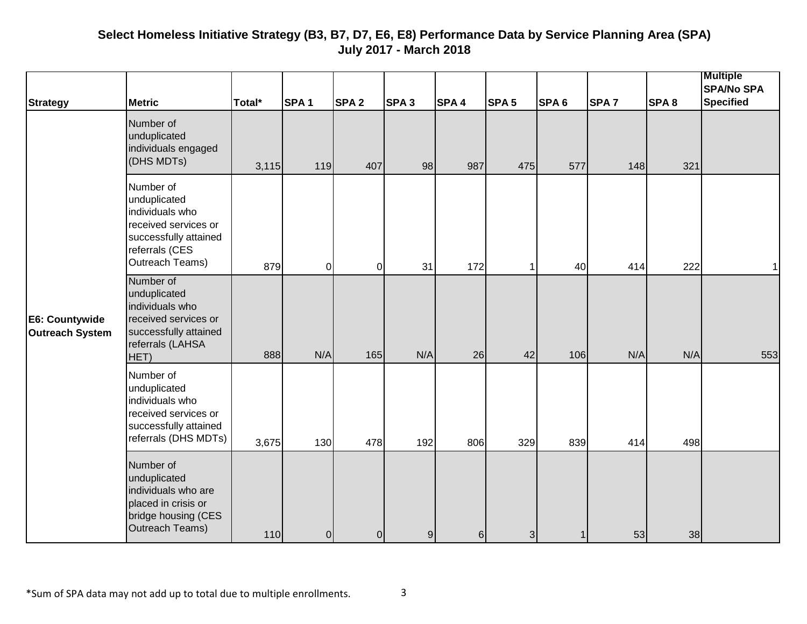|                                          |                                                                                                                                    |        |                  |                  |                  |                  |                  |                  |                  |                  | <b>Multiple</b><br><b>SPA/No SPA</b> |
|------------------------------------------|------------------------------------------------------------------------------------------------------------------------------------|--------|------------------|------------------|------------------|------------------|------------------|------------------|------------------|------------------|--------------------------------------|
| <b>Strategy</b>                          | <b>Metric</b>                                                                                                                      | Total* | SPA <sub>1</sub> | SPA <sub>2</sub> | SPA <sub>3</sub> | SPA <sub>4</sub> | SPA <sub>5</sub> | SPA <sub>6</sub> | SPA <sub>7</sub> | SPA <sub>8</sub> | <b>Specified</b>                     |
|                                          | Number of<br>unduplicated<br>individuals engaged<br>(DHS MDTs)                                                                     | 3,115  | 119              | 407              | 98               | 987              | 475              | 577              | 148              | 321              |                                      |
|                                          | Number of<br>unduplicated<br>individuals who<br>received services or<br>successfully attained<br>referrals (CES<br>Outreach Teams) | 879    | $\overline{0}$   | $\overline{0}$   | 31               | 172              | 1                | 40               | 414              | 222              | $\mathbf 1$                          |
| E6: Countywide<br><b>Outreach System</b> | Number of<br>unduplicated<br>individuals who<br>received services or<br>successfully attained<br>referrals (LAHSA<br>HET)          | 888    | N/A              | 165              | N/A              | 26               | 42               | 106              | N/A              | N/A              | 553                                  |
|                                          | Number of<br>unduplicated<br>individuals who<br>received services or<br>successfully attained<br>referrals (DHS MDTs)              | 3,675  | 130              | 478              | 192              | 806              | 329              | 839              | 414              | 498              |                                      |
|                                          | Number of<br>unduplicated<br>individuals who are<br>placed in crisis or<br>bridge housing (CES<br>Outreach Teams)                  | 110    | 0                | $\overline{0}$   | $\overline{9}$   | $6 \,$           | 3                |                  | 53               | 38               |                                      |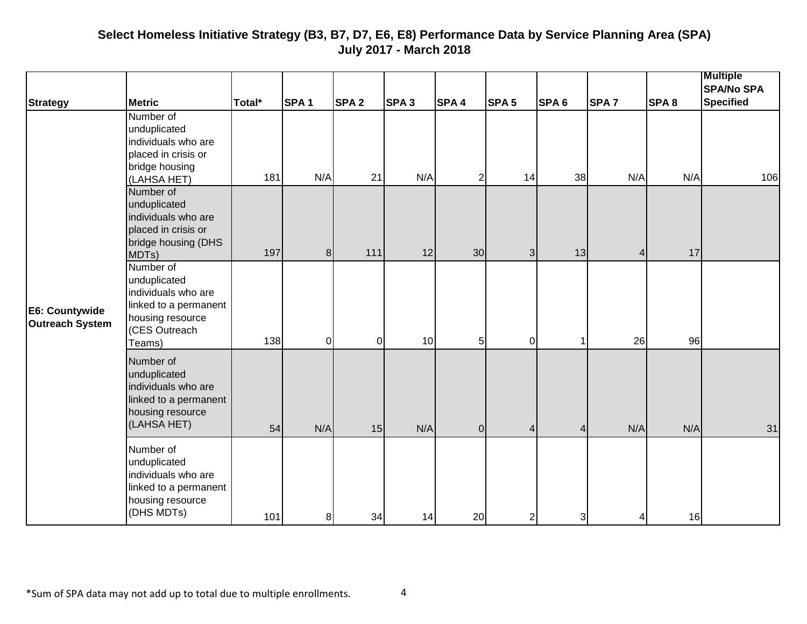|                                   |                                                                                                                          |        |                  |                  |                  |                  |                  |                  |                  |                  | <b>Multiple</b><br><b>SPA/No SPA</b> |
|-----------------------------------|--------------------------------------------------------------------------------------------------------------------------|--------|------------------|------------------|------------------|------------------|------------------|------------------|------------------|------------------|--------------------------------------|
| <b>Strategy</b>                   | <b>Metric</b>                                                                                                            | Total* | SPA <sub>1</sub> | SPA <sub>2</sub> | SPA <sub>3</sub> | SPA <sub>4</sub> | SPA <sub>5</sub> | SPA <sub>6</sub> | SPA <sub>7</sub> | SPA <sub>8</sub> | <b>Specified</b>                     |
|                                   | Number of<br>unduplicated<br>individuals who are<br>placed in crisis or<br>bridge housing<br>(LAHSA HET)                 | 181    | N/A              | 21               | N/A              | $\overline{2}$   | 14               | 38               | N/A              | N/A              | 106                                  |
|                                   | Number of<br>unduplicated<br>individuals who are<br>placed in crisis or<br>bridge housing (DHS<br>MDTs)                  | 197    | 8 <sup>1</sup>   | $111$            | 12               | 30               | 3                | 13               | 4                | 17               |                                      |
| E6: Countywide<br>Outreach System | Number of<br>unduplicated<br>individuals who are<br>linked to a permanent<br>housing resource<br>(CES Outreach<br>Teams) | 138    | $\overline{O}$   | $\overline{0}$   | 10               | 5 <sub>l</sub>   | $\pmb{0}$        |                  | 26               | 96               |                                      |
|                                   | Number of<br>unduplicated<br>individuals who are<br>linked to a permanent<br>housing resource<br>(LAHSA HET)             | 54     | N/A              | 15               | N/A              | 0                | 4                | 4                | N/A              | N/A              | 31                                   |
|                                   | Number of<br>unduplicated<br>individuals who are<br>linked to a permanent<br>housing resource<br>(DHS MDTs)              | 101    | 8 <sup>1</sup>   | 34               | 14               | 20               | $\mathbf 2$      | 3                |                  | 16               |                                      |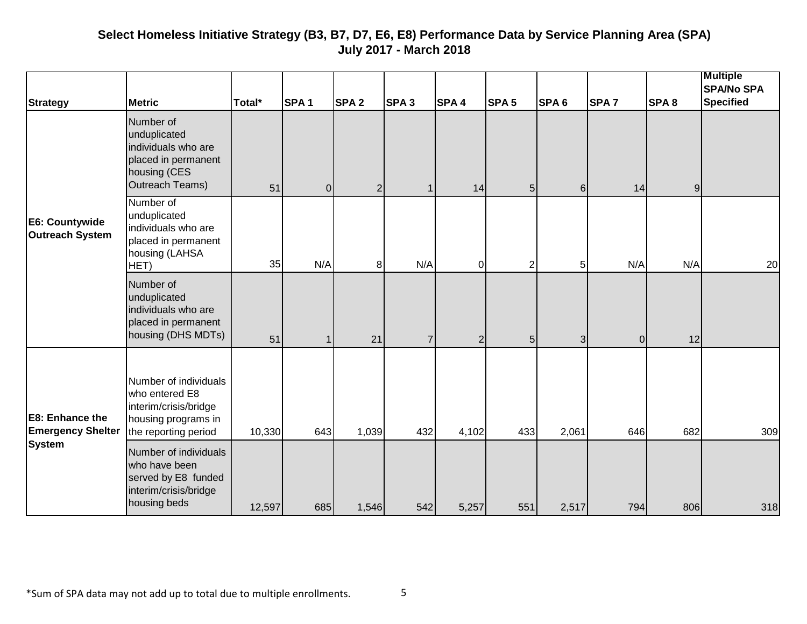| <b>Strategy</b>                                                     | <b>Metric</b>                                                                                                   | Total* | SPA <sub>1</sub> | SPA <sub>2</sub> | SPA <sub>3</sub> | SPA <sub>4</sub> | SPA <sub>5</sub> | SPA <sub>6</sub> | SPA <sub>7</sub> | SPA <sub>8</sub> | <b>Multiple</b><br><b>SPA/No SPA</b><br><b>Specified</b> |
|---------------------------------------------------------------------|-----------------------------------------------------------------------------------------------------------------|--------|------------------|------------------|------------------|------------------|------------------|------------------|------------------|------------------|----------------------------------------------------------|
|                                                                     | Number of<br>unduplicated<br>individuals who are<br>placed in permanent<br>housing (CES<br>Outreach Teams)      | 51     | 0                | $\overline{2}$   | $\mathbf{1}$     | 14               | 5                | 6 <sup>1</sup>   | 14               | $\overline{9}$   |                                                          |
| E6: Countywide<br><b>Outreach System</b>                            | Number of<br>unduplicated<br>individuals who are<br>placed in permanent<br>housing (LAHSA<br>HET)               | 35     | N/A              | 8                | N/A              | $\mathbf 0$      | $\overline{2}$   | 5 <sub>l</sub>   | N/A              | N/A              | 20                                                       |
|                                                                     | Number of<br>unduplicated<br>individuals who are<br>placed in permanent<br>housing (DHS MDTs)                   | 51     | 1                | 21               | $\overline{7}$   | $\overline{2}$   | 5                | 3 <sup>l</sup>   | $\overline{0}$   | 12               |                                                          |
| <b>E8: Enhance the</b><br><b>Emergency Shelter</b><br><b>System</b> | Number of individuals<br>who entered E8<br>interim/crisis/bridge<br>housing programs in<br>the reporting period | 10,330 | 643              | 1,039            | 432              | 4,102            | 433              | 2,061            | 646              | 682              | 309                                                      |
|                                                                     | Number of individuals<br>who have been<br>served by E8 funded<br>interim/crisis/bridge<br>housing beds          | 12,597 | 685              | 1,546            | 542              | 5,257            | 551              | 2,517            | 794              | 806              | 318                                                      |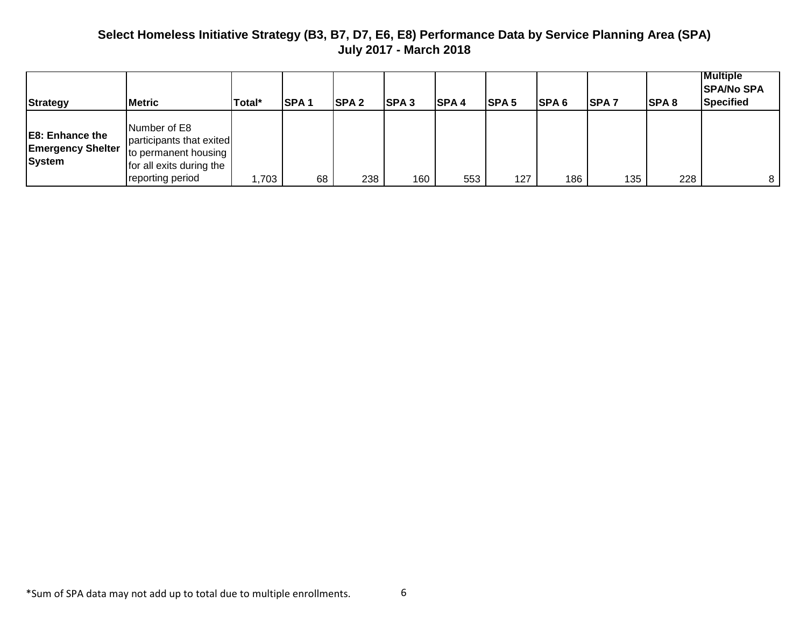| <b>Strategy</b>                                                     | <b>Metric</b>                                                                                                    | Total* | <b>SPA1</b> | <b>SPA2</b> | <b>SPA3</b> | <b>SPA4</b> | <b>ISPA 5</b> | <b>ISPA 6</b> | <b>SPA7</b> | <b>SPA8</b> | <b>Multiple</b><br><b>SPA/No SPA</b><br>Specified |
|---------------------------------------------------------------------|------------------------------------------------------------------------------------------------------------------|--------|-------------|-------------|-------------|-------------|---------------|---------------|-------------|-------------|---------------------------------------------------|
| <b>E8: Enhance the</b><br><b>Emergency Shelter</b><br><b>System</b> | Number of E8<br>participants that exited<br>to permanent housing<br>for all exits during the<br>reporting period | 1,703  | 68          | 238         | 160         | 553         | 127           | 186           | 135         | 228         | 8                                                 |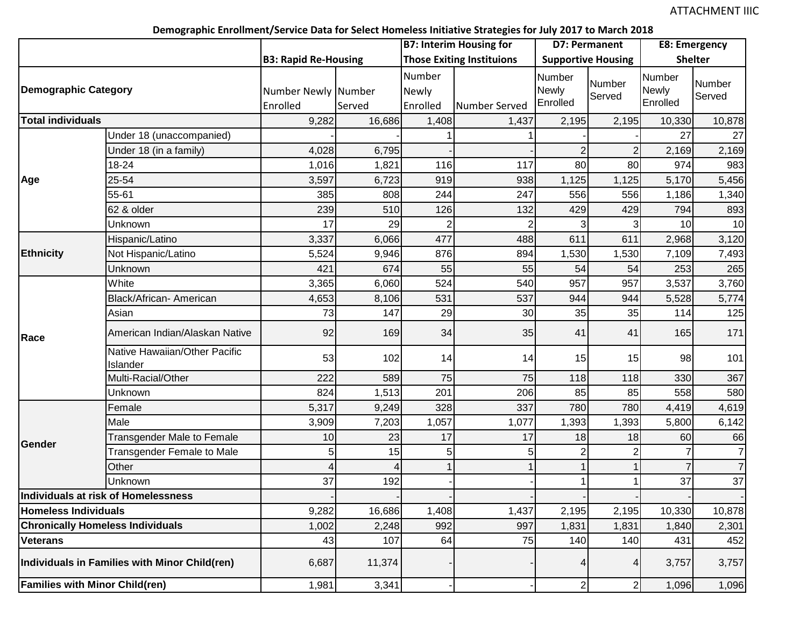#### **Demographic Enrollment/Service Data for Select Homeless Initiative Strategies for July 2017 to March 2018**

|                                       | ັ<br>. <i>.</i>                               |                             |        |                | <b>B7: Interim Housing for</b>   |              | D7: Permanent             | E8: Emergency |                  |
|---------------------------------------|-----------------------------------------------|-----------------------------|--------|----------------|----------------------------------|--------------|---------------------------|---------------|------------------|
|                                       |                                               | <b>B3: Rapid Re-Housing</b> |        |                | <b>Those Exiting Instituions</b> |              | <b>Supportive Housing</b> |               | <b>Shelter</b>   |
|                                       |                                               |                             |        | Number         |                                  | Number       |                           | Number        |                  |
| Demographic Category                  |                                               | Number Newly Number         |        | Newly          |                                  | <b>Newly</b> | Number<br>Served          | <b>Newly</b>  | Number<br>Served |
|                                       |                                               | Enrolled                    | Served | Enrolled       | Number Served                    | Enrolled     |                           | Enrolled      |                  |
| <b>Total individuals</b>              |                                               | 9,282                       | 16,686 | 1,408          | 1,437                            | 2,195        | 2,195                     | 10,330        | 10,878           |
|                                       | Under 18 (unaccompanied)                      |                             |        |                |                                  |              |                           | 27            | 27               |
|                                       | Under 18 (in a family)                        | 4,028                       | 6,795  |                |                                  |              |                           | 2,169         | 2,169            |
|                                       | 18-24                                         | 1,016                       | 1,821  | 116            | 117                              | 80           | 80                        | 974           | 983              |
| Age                                   | 25-54                                         | 3,597                       | 6,723  | 919            | 938                              | 1,125        | 1,125                     | 5,170         | 5,456            |
|                                       | 55-61                                         | 385                         | 808    | 244            | 247                              | 556          | 556                       | 1,186         | 1,340            |
|                                       | 62 & older                                    | 239                         | 510    | 126            | 132                              | 429          | 429                       | 794           | 893              |
|                                       | Unknown                                       | 17                          | 29     | $\overline{2}$ |                                  |              |                           | 10            | 10               |
|                                       | Hispanic/Latino                               | 3,337                       | 6,066  | 477            | 488                              | 611          | 611                       | 2,968         | 3,120            |
| <b>Ethnicity</b>                      | Not Hispanic/Latino                           | 5,524                       | 9,946  | 876            | 894                              | 1,530        | 1,530                     | 7,109         | 7,493            |
|                                       | Unknown                                       | 421                         | 674    | 55             | 55                               | 54           | 54                        | 253           | 265              |
|                                       | White                                         | 3,365                       | 6,060  | 524            | 540                              | 957          | 957                       | 3,537         | 3,760            |
|                                       | Black/African- American                       | 4,653                       | 8,106  | 531            | 537                              | 944          | 944                       | 5,528         | 5,774            |
|                                       | Asian                                         | 73                          | 147    | 29             | 30                               | 35           | 35                        | 114           | 125              |
| Race                                  | American Indian/Alaskan Native                | 92                          | 169    | 34             | 35                               | 41           | 41                        | 165           | 171              |
|                                       | Native Hawaiian/Other Pacific<br>Islander     | 53                          | 102    | 14             | 14                               | 15           | 15                        | 98            | 101              |
|                                       | Multi-Racial/Other                            | 222                         | 589    | 75             | 75                               | 118          | 118                       | 330           | 367              |
|                                       | Unknown                                       | 824                         | 1,513  | 201            | 206                              | 85           | 85                        | 558           | 580              |
|                                       | Female                                        | 5,317                       | 9,249  | 328            | 337                              | 780          | 780                       | 4,419         | 4,619            |
|                                       | Male                                          | 3,909                       | 7,203  | 1,057          | 1,077                            | 1,393        | 1,393                     | 5,800         | 6,142            |
| <b>Gender</b>                         | <b>Transgender Male to Female</b>             | 10                          | 23     | 17             | 17                               | 18           | 18                        | 60            | 66               |
|                                       | <b>Transgender Female to Male</b>             | 5                           | 15     | 5              | 5                                |              |                           |               | $\overline{7}$   |
|                                       | Other                                         | 4                           |        |                |                                  |              |                           |               | $\overline{7}$   |
|                                       | Unknown                                       | 37                          | 192    |                |                                  |              |                           | 37            | 37               |
|                                       | Individuals at risk of Homelessness           |                             |        |                |                                  |              |                           |               |                  |
| <b>Homeless Individuals</b>           |                                               | 9,282                       | 16,686 | 1,408          | 1,437                            | 2,195        | 2,195                     | 10,330        | 10,878           |
|                                       | <b>Chronically Homeless Individuals</b>       | 1,002                       | 2,248  | 992            | 997                              | 1,831        | 1,831                     | 1,840         | 2,301            |
| <b>Veterans</b>                       |                                               | 43                          | 107    | 64             | 75                               | 140          | 140                       | 431           | 452              |
|                                       | Individuals in Families with Minor Child(ren) | 6,687                       | 11,374 |                |                                  |              |                           | 3,757         | 3,757            |
| <b>Families with Minor Child(ren)</b> |                                               | 1,981                       | 3,341  |                |                                  | $\sqrt{2}$   | $\overline{2}$            | 1,096         | 1,096            |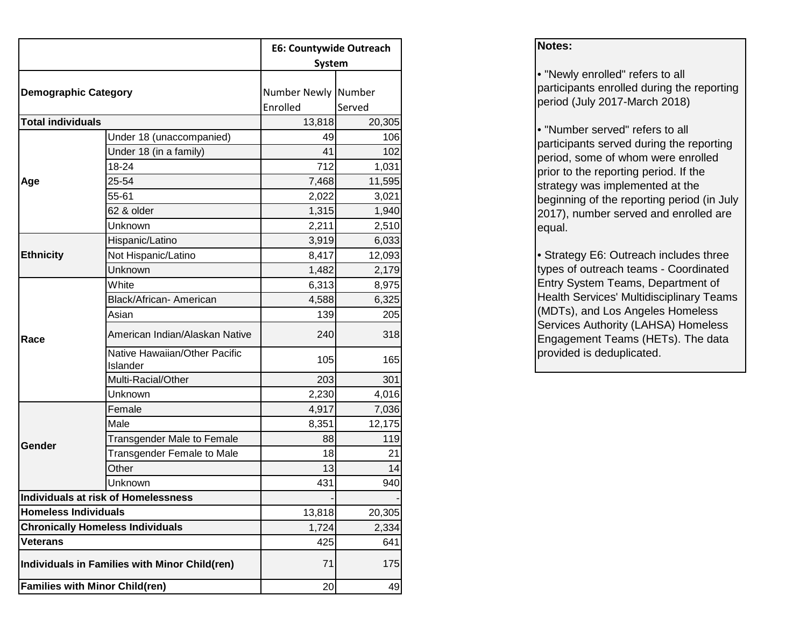|                                       |                                               | <b>E6: Countywide Outreach</b>  |        |  |  |  |
|---------------------------------------|-----------------------------------------------|---------------------------------|--------|--|--|--|
|                                       |                                               | <b>System</b>                   |        |  |  |  |
| <b>Demographic Category</b>           |                                               | Number Newly Number<br>Enrolled | Served |  |  |  |
| <b>Total individuals</b>              |                                               | 13,818                          | 20,305 |  |  |  |
|                                       | Under 18 (unaccompanied)                      | 49                              | 106    |  |  |  |
|                                       | Under 18 (in a family)                        | 41                              | 102    |  |  |  |
|                                       | 18-24                                         | 712                             | 1,031  |  |  |  |
| Age                                   | 25-54                                         | 7,468                           | 11,595 |  |  |  |
|                                       | 55-61                                         | 2,022                           | 3,021  |  |  |  |
|                                       | 62 & older                                    | 1,315                           | 1,940  |  |  |  |
|                                       | Unknown                                       | 2,211                           | 2,510  |  |  |  |
|                                       | Hispanic/Latino                               | 3,919                           | 6,033  |  |  |  |
| <b>Ethnicity</b>                      | Not Hispanic/Latino                           | 8,417                           | 12,093 |  |  |  |
|                                       | Unknown                                       | 1,482                           | 2,179  |  |  |  |
|                                       | White                                         | 6,313                           | 8,975  |  |  |  |
|                                       | Black/African- American                       | 4,588                           | 6,325  |  |  |  |
|                                       | Asian                                         | 139                             | 205    |  |  |  |
| Race                                  | American Indian/Alaskan Native                | 240                             | 318    |  |  |  |
|                                       | Native Hawaiian/Other Pacific<br>Islander     | 105                             | 165    |  |  |  |
|                                       | Multi-Racial/Other                            | 203                             | 301    |  |  |  |
|                                       | Unknown                                       | 2,230                           | 4,016  |  |  |  |
|                                       | Female                                        | 4,917                           | 7,036  |  |  |  |
|                                       | Male                                          | 8,351                           | 12,175 |  |  |  |
| Gender                                | <b>Transgender Male to Female</b>             | 88                              | 119    |  |  |  |
|                                       | <b>Transgender Female to Male</b>             | 18                              | 21     |  |  |  |
|                                       | Other                                         | 13                              | 14     |  |  |  |
|                                       | Unknown                                       | 431                             | 940    |  |  |  |
|                                       | Individuals at risk of Homelessness           |                                 |        |  |  |  |
| <b>Homeless Individuals</b>           |                                               | 13,818                          | 20,305 |  |  |  |
|                                       | <b>Chronically Homeless Individuals</b>       | 1,724                           | 2,334  |  |  |  |
| <b>Veterans</b>                       |                                               | 425                             | 641    |  |  |  |
|                                       | Individuals in Families with Minor Child(ren) | 71                              | 175    |  |  |  |
| <b>Families with Minor Child(ren)</b> |                                               | 20                              | 49     |  |  |  |

#### **Notes:**

• "Newly enrolled" refers to all participants enrolled during the reporting period (July 2017-March 2018)

• "Number served" refers to all participants served during the reporting period, some of whom were enrolled prior to the reporting period. If the strategy was implemented at the beginning of the reporting period (in July 2017), number served and enrolled are equal.

• Strategy E6: Outreach includes three types of outreach teams - Coordinated Entry System Teams, Department of Health Services' Multidisciplinary Teams (MDTs), and Los Angeles Homeless Services Authority (LAHSA) Homeless Engagement Teams (HETs). The data provided is deduplicated.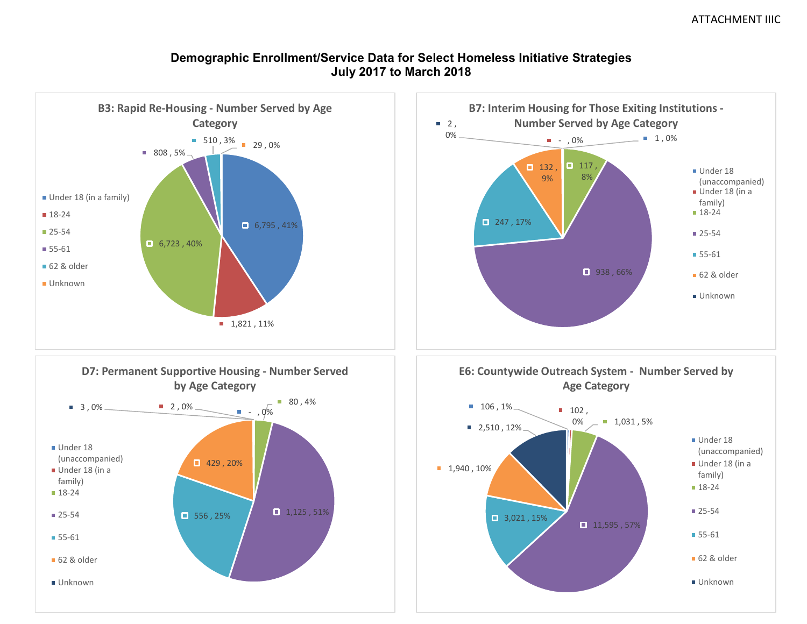#### **Demographic Enrollment/Service Data for Select Homeless Initiative Strategies July 2017 to March 2018**

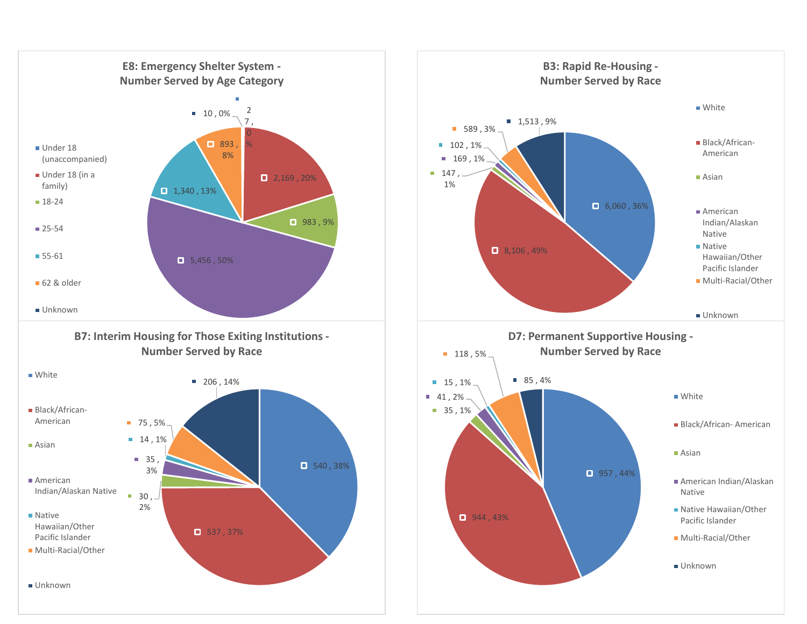

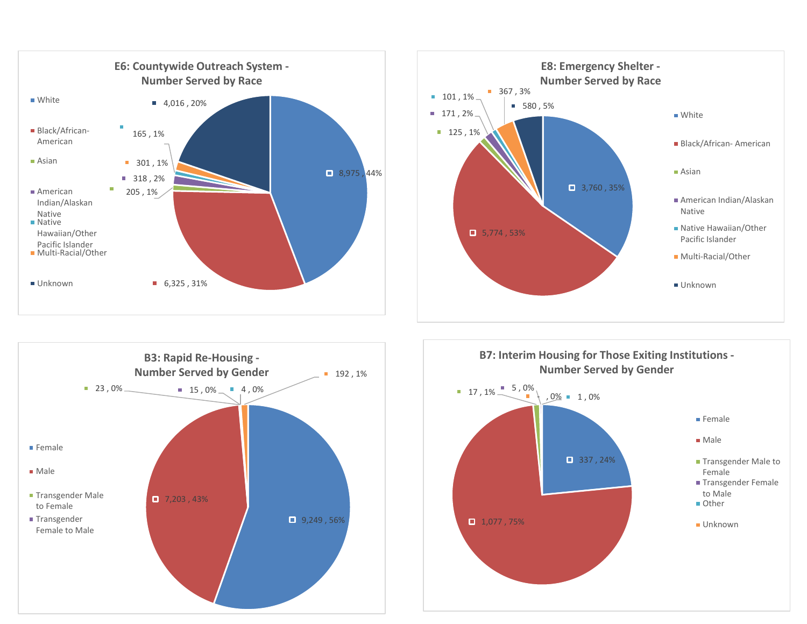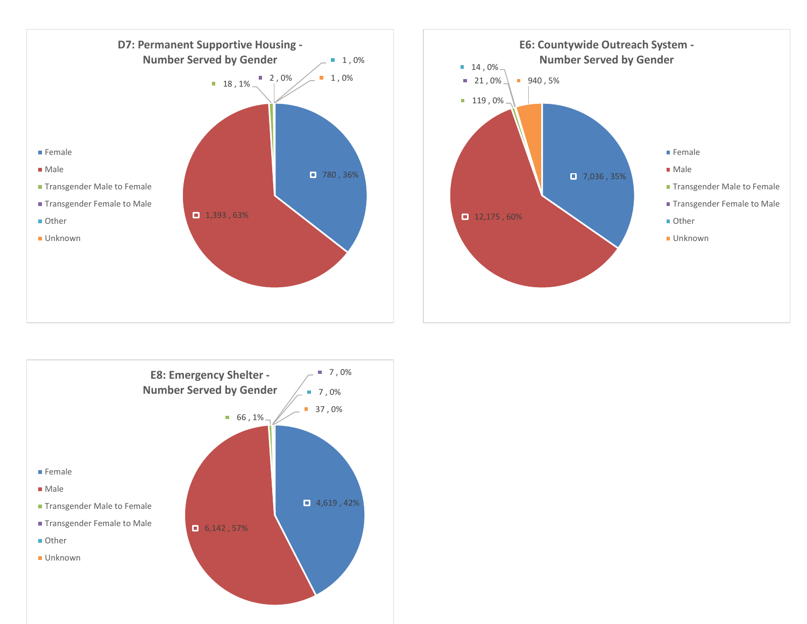